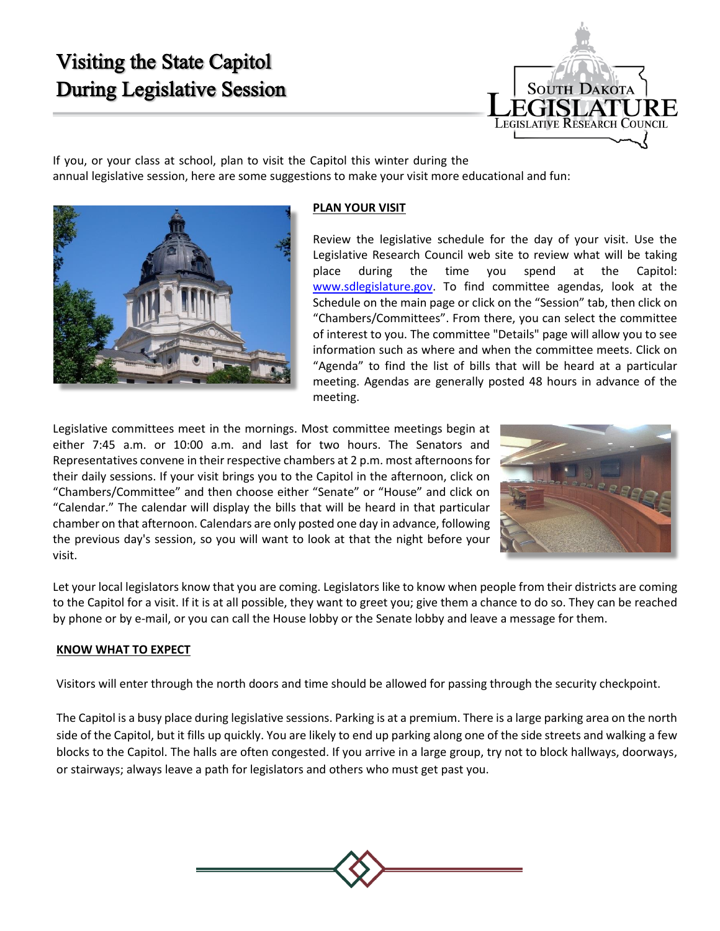## Visiting the State Capitol During Legislative Session



If you, or your class at school, plan to visit the Capitol this winter during the annual legislative session, here are some suggestions to make your visit more educational and fun:



## **PLAN YOUR VISIT**

Review the legislative schedule for the day of your visit. Use the Legislative Research Council web site to review what will be taking place during the time you spend at the Capitol: [www.sdlegislature.gov.](http://www.sdlegislature.gov/) To find committee agendas, look at the Schedule on the main page or click on the "Session" tab, then click on "Chambers/Committees". From there, you can select the committee of interest to you. The committee "Details" page will allow you to see information such as where and when the committee meets. Click on "Agenda" to find the list of bills that will be heard at a particular meeting. Agendas are generally posted 48 hours in advance of the meeting.

Legislative committees meet in the mornings. Most committee meetings begin at either 7:45 a.m. or 10:00 a.m. and last for two hours. The Senators and Representatives convene in their respective chambers at 2 p.m. most afternoonsfor their daily sessions. If your visit brings you to the Capitol in the afternoon, click on "Chambers/Committee" and then choose either "Senate" or "House" and click on "Calendar." The calendar will display the bills that will be heard in that particular chamber on that afternoon. Calendars are only posted one day in advance, following the previous day's session, so you will want to look at that the night before your visit.



Let your local legislators know that you are coming. Legislators like to know when people from their districts are coming to the Capitol for a visit. If it is at all possible, they want to greet you; give them a chance to do so. They can be reached by phone or by e-mail, or you can call the House lobby or the Senate lobby and leave a message for them.

## **KNOW WHAT TO EXPECT**

Visitors will enter through the north doors and time should be allowed for passing through the security checkpoint.

The Capitol is a busy place during legislative sessions. Parking is at a premium. There is a large parking area on the north side of the Capitol, but it fills up quickly. You are likely to end up parking along one of the side streets and walking a few blocks to the Capitol. The halls are often congested. If you arrive in a large group, try not to block hallways, doorways, or stairways; always leave a path for legislators and others who must get past you.